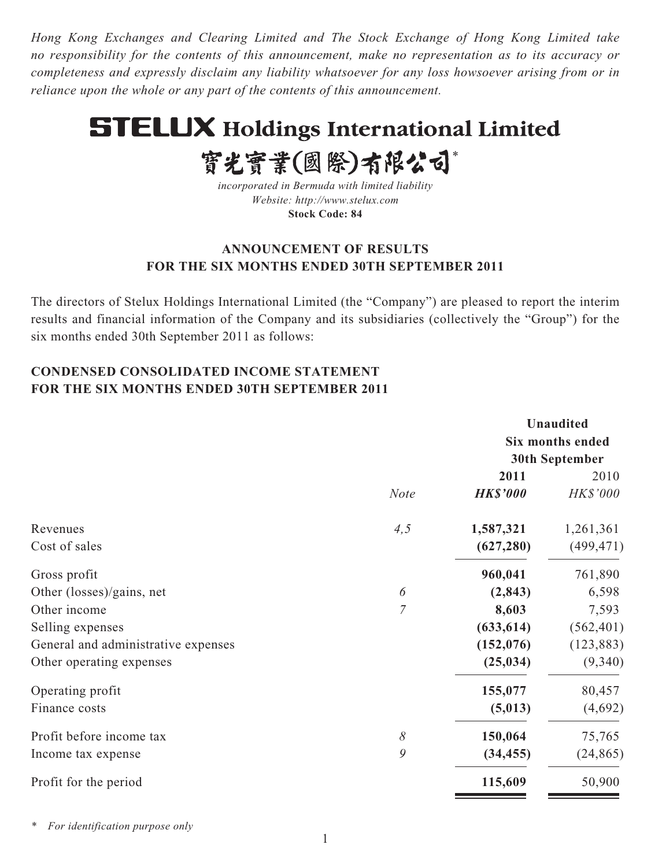*Hong Kong Exchanges and Clearing Limited and The Stock Exchange of Hong Kong Limited take no responsibility for the contents of this announcement, make no representation as to its accuracy or completeness and expressly disclaim any liability whatsoever for any loss howsoever arising from or in reliance upon the whole or any part of the contents of this announcement.*

# **STELUX Holdings International Limited**

實光實業(國際)有限公司\*

*incorporated in Bermuda with limited liability Website: http://www.stelux.com* **Stock Code: 84**

### **ANNOUNCEMENT OF RESULTS FOR THE SIX MONTHS ENDED 30TH SEPTEMBER 2011**

The directors of Stelux Holdings International Limited (the "Company") are pleased to report the interim results and financial information of the Company and its subsidiaries (collectively the "Group") for the six months ended 30th September 2011 as follows:

### **CONDENSED CONSOLIDATED INCOME STATEMENT FOR THE SIX MONTHS ENDED 30TH SEPTEMBER 2011**

|                                     |                 | <b>Unaudited</b>      |
|-------------------------------------|-----------------|-----------------------|
|                                     |                 | Six months ended      |
|                                     |                 | <b>30th September</b> |
|                                     | 2011            | 2010                  |
| <b>Note</b>                         | <b>HK\$'000</b> | HK\$'000              |
| 4, 5<br>Revenues                    | 1,587,321       | 1,261,361             |
| Cost of sales                       | (627, 280)      | (499, 471)            |
| Gross profit                        | 960,041         | 761,890               |
| Other (losses)/gains, net<br>6      | (2, 843)        | 6,598                 |
| 7<br>Other income                   | 8,603           | 7,593                 |
| Selling expenses                    | (633, 614)      | (562, 401)            |
| General and administrative expenses | (152, 076)      | (123, 883)            |
| Other operating expenses            | (25, 034)       | (9,340)               |
| Operating profit                    | 155,077         | 80,457                |
| Finance costs                       | (5, 013)        | (4,692)               |
| Profit before income tax<br>8       | 150,064         | 75,765                |
| 9<br>Income tax expense             | (34, 455)       | (24, 865)             |
| Profit for the period               | 115,609         | 50,900                |

*\* For identification purpose only*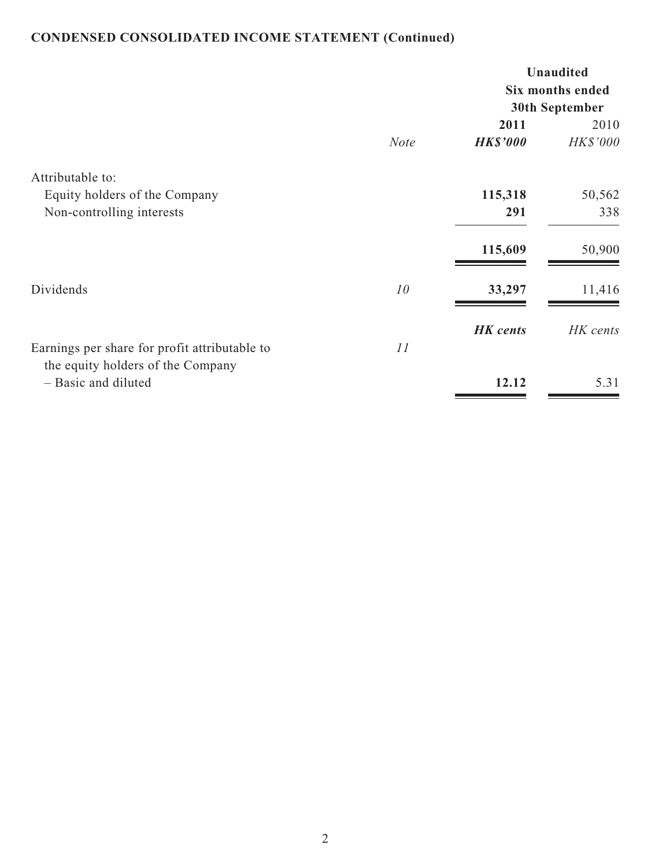## **CONDENSED CONSOLIDATED INCOME STATEMENT (Continued)**

|                                               |             |                 | <b>Unaudited</b><br>Six months ended |
|-----------------------------------------------|-------------|-----------------|--------------------------------------|
|                                               |             | 2011            | 30th September<br>2010               |
|                                               | <b>Note</b> | <b>HK\$'000</b> | HK\$'000                             |
| Attributable to:                              |             |                 |                                      |
| Equity holders of the Company                 |             | 115,318         | 50,562                               |
| Non-controlling interests                     |             | 291             | 338                                  |
|                                               |             | 115,609         | 50,900                               |
| Dividends                                     | 10          | 33,297          | 11,416                               |
|                                               |             | <b>HK</b> cents | HK cents                             |
| Earnings per share for profit attributable to | 11          |                 |                                      |
| the equity holders of the Company             |             |                 |                                      |
| - Basic and diluted                           |             | 12.12           | 5.31                                 |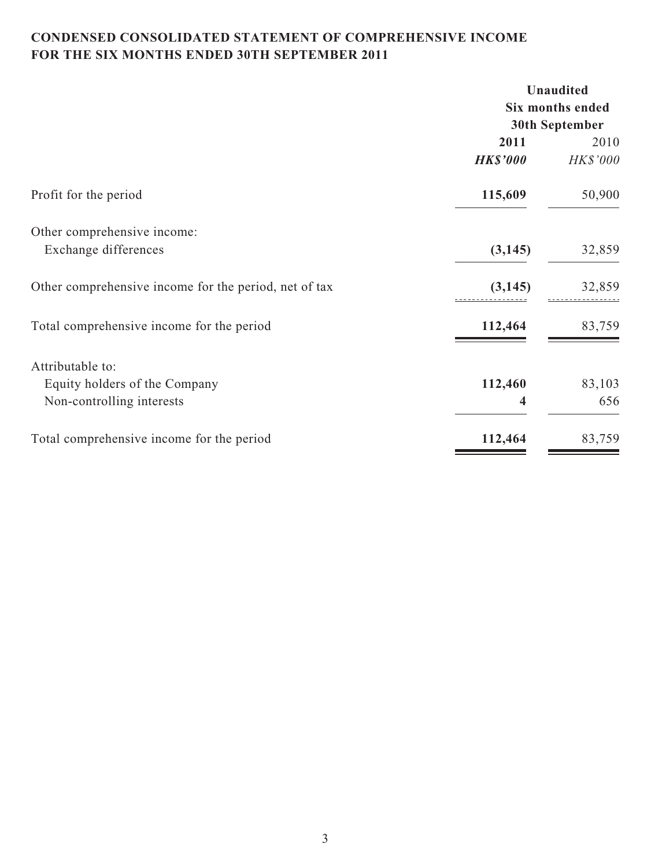### **CONDENSED CONSOLIDATED STATEMENT OF COMPREHENSIVE INCOME FOR THE SIX MONTHS ENDED 30TH SEPTEMBER 2011**

|                                                       | <b>Unaudited</b>      |                         |  |
|-------------------------------------------------------|-----------------------|-------------------------|--|
|                                                       |                       | <b>Six months ended</b> |  |
|                                                       | <b>30th September</b> |                         |  |
|                                                       | 2011                  | 2010                    |  |
|                                                       | <b>HK\$'000</b>       | HK\$'000                |  |
| Profit for the period                                 | 115,609               | 50,900                  |  |
| Other comprehensive income:                           |                       |                         |  |
| Exchange differences                                  | (3, 145)              | 32,859                  |  |
| Other comprehensive income for the period, net of tax | (3, 145)              | 32,859                  |  |
| Total comprehensive income for the period             | 112,464               | 83,759                  |  |
| Attributable to:                                      |                       |                         |  |
| Equity holders of the Company                         | 112,460               | 83,103                  |  |
| Non-controlling interests                             | 4                     | 656                     |  |
| Total comprehensive income for the period             | 112,464               | 83,759                  |  |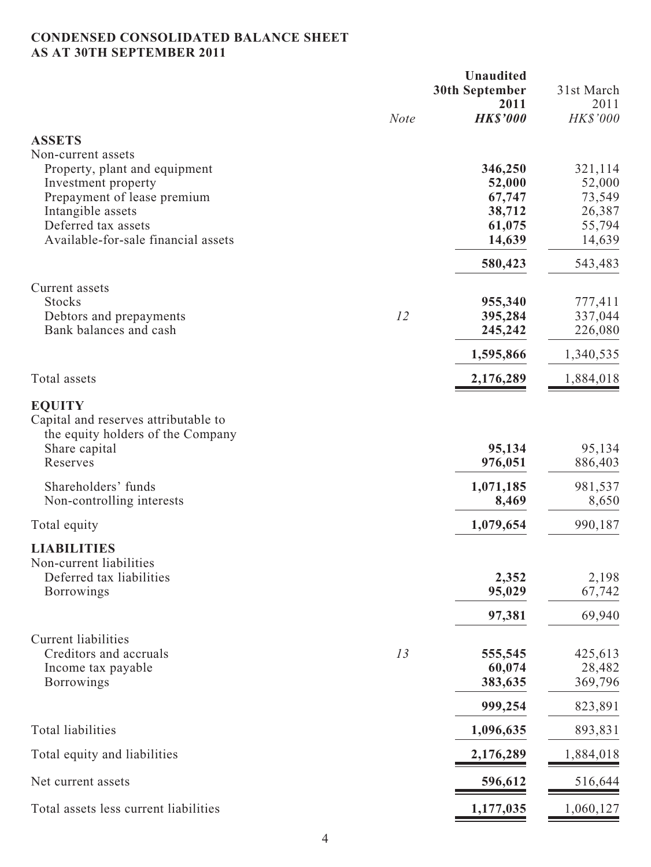### **CONDENSED CONSOLIDATED BALANCE SHEET AS AT 30TH SEPTEMBER 2011**

|                                                                                                                                                                                              |             | <b>Unaudited</b><br><b>30th September</b><br>2011         | 31st March<br>2011                                        |
|----------------------------------------------------------------------------------------------------------------------------------------------------------------------------------------------|-------------|-----------------------------------------------------------|-----------------------------------------------------------|
|                                                                                                                                                                                              | <b>Note</b> | <b>HK\$'000</b>                                           | HK\$'000                                                  |
| <b>ASSETS</b>                                                                                                                                                                                |             |                                                           |                                                           |
| Non-current assets<br>Property, plant and equipment<br>Investment property<br>Prepayment of lease premium<br>Intangible assets<br>Deferred tax assets<br>Available-for-sale financial assets |             | 346,250<br>52,000<br>67,747<br>38,712<br>61,075<br>14,639 | 321,114<br>52,000<br>73,549<br>26,387<br>55,794<br>14,639 |
|                                                                                                                                                                                              |             | 580,423                                                   | 543,483                                                   |
| Current assets<br><b>Stocks</b><br>Debtors and prepayments<br>Bank balances and cash                                                                                                         | 12          | 955,340<br>395,284<br>245,242                             | 777,411<br>337,044<br>226,080                             |
|                                                                                                                                                                                              |             | 1,595,866                                                 | 1,340,535                                                 |
| Total assets                                                                                                                                                                                 |             | 2,176,289                                                 | 1,884,018                                                 |
| <b>EQUITY</b><br>Capital and reserves attributable to<br>the equity holders of the Company<br>Share capital<br>Reserves<br>Shareholders' funds<br>Non-controlling interests                  |             | 95,134<br>976,051<br>1,071,185<br>8,469                   | 95,134<br>886,403<br>981,537<br>8,650                     |
| Total equity                                                                                                                                                                                 |             | 1,079,654                                                 | 990,187                                                   |
| <b>LIABILITIES</b><br>Non-current liabilities<br>Deferred tax liabilities<br><b>Borrowings</b>                                                                                               |             | 2,352<br>95,029                                           | 2,198<br>67,742<br>69,940                                 |
|                                                                                                                                                                                              |             | 97,381                                                    |                                                           |
| <b>Current liabilities</b><br>Creditors and accruals<br>Income tax payable<br><b>Borrowings</b>                                                                                              | 13          | 555,545<br>60,074<br>383,635                              | 425,613<br>28,482<br>369,796                              |
|                                                                                                                                                                                              |             | 999,254                                                   | 823,891                                                   |
| <b>Total liabilities</b>                                                                                                                                                                     |             | 1,096,635                                                 | 893,831                                                   |
| Total equity and liabilities                                                                                                                                                                 |             | 2,176,289                                                 | 1,884,018                                                 |
| Net current assets                                                                                                                                                                           |             | 596,612                                                   | 516,644                                                   |
| Total assets less current liabilities                                                                                                                                                        |             | 1,177,035                                                 | 1,060,127                                                 |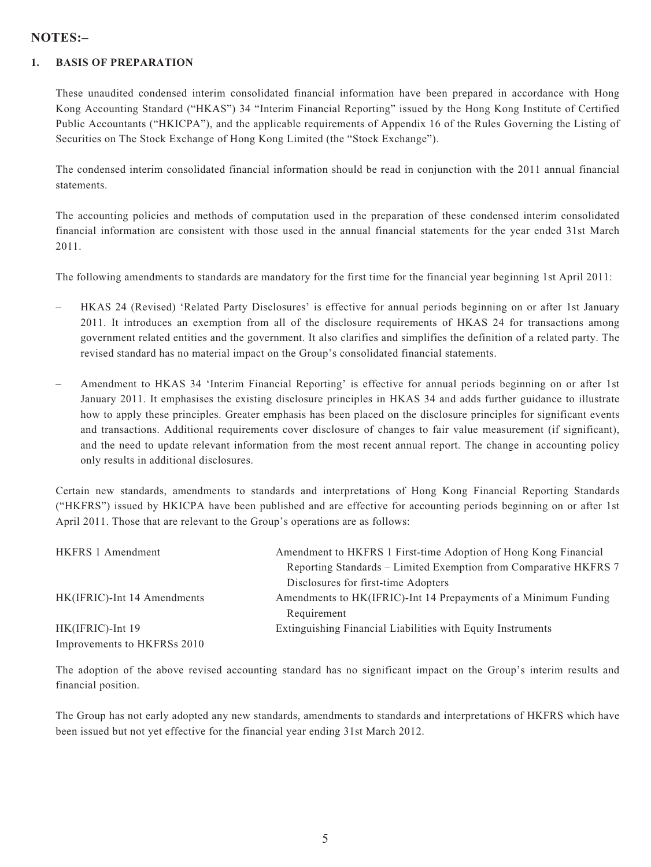#### **NOTES:–**

#### **1. BASIS OF PREPARATION**

These unaudited condensed interim consolidated financial information have been prepared in accordance with Hong Kong Accounting Standard ("HKAS") 34 "Interim Financial Reporting" issued by the Hong Kong Institute of Certified Public Accountants ("HKICPA"), and the applicable requirements of Appendix 16 of the Rules Governing the Listing of Securities on The Stock Exchange of Hong Kong Limited (the "Stock Exchange").

The condensed interim consolidated financial information should be read in conjunction with the 2011 annual financial statements.

The accounting policies and methods of computation used in the preparation of these condensed interim consolidated financial information are consistent with those used in the annual financial statements for the year ended 31st March 2011.

The following amendments to standards are mandatory for the first time for the financial year beginning 1st April 2011:

- HKAS 24 (Revised) 'Related Party Disclosures' is effective for annual periods beginning on or after 1st January 2011. It introduces an exemption from all of the disclosure requirements of HKAS 24 for transactions among government related entities and the government. It also clarifies and simplifies the definition of a related party. The revised standard has no material impact on the Group's consolidated financial statements.
- Amendment to HKAS 34 'Interim Financial Reporting' is effective for annual periods beginning on or after 1st January 2011. It emphasises the existing disclosure principles in HKAS 34 and adds further guidance to illustrate how to apply these principles. Greater emphasis has been placed on the disclosure principles for significant events and transactions. Additional requirements cover disclosure of changes to fair value measurement (if significant), and the need to update relevant information from the most recent annual report. The change in accounting policy only results in additional disclosures.

Certain new standards, amendments to standards and interpretations of Hong Kong Financial Reporting Standards ("HKFRS") issued by HKICPA have been published and are effective for accounting periods beginning on or after 1st April 2011. Those that are relevant to the Group's operations are as follows:

| <b>HKFRS 1 Amendment</b>    | Amendment to HKFRS 1 First-time Adoption of Hong Kong Financial  |
|-----------------------------|------------------------------------------------------------------|
|                             | Reporting Standards – Limited Exemption from Comparative HKFRS 7 |
|                             | Disclosures for first-time Adopters                              |
| HK(IFRIC)-Int 14 Amendments | Amendments to HK(IFRIC)-Int 14 Prepayments of a Minimum Funding  |
|                             | Requirement                                                      |
| HK(IFRIC)-Int 19            | Extinguishing Financial Liabilities with Equity Instruments      |
| Improvements to HKFRSs 2010 |                                                                  |

The adoption of the above revised accounting standard has no significant impact on the Group's interim results and financial position.

The Group has not early adopted any new standards, amendments to standards and interpretations of HKFRS which have been issued but not yet effective for the financial year ending 31st March 2012.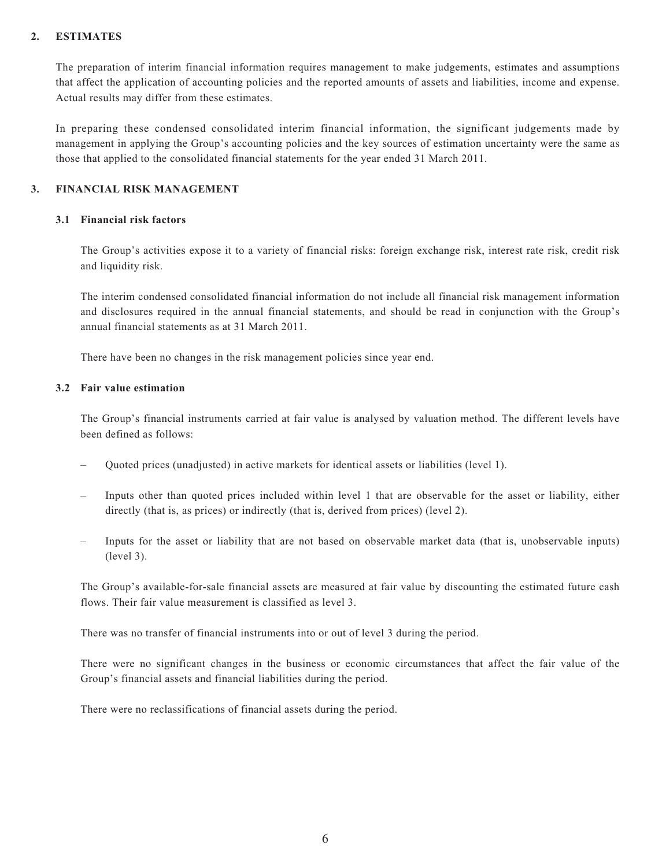#### **2. ESTIMATES**

The preparation of interim financial information requires management to make judgements, estimates and assumptions that affect the application of accounting policies and the reported amounts of assets and liabilities, income and expense. Actual results may differ from these estimates.

In preparing these condensed consolidated interim financial information, the significant judgements made by management in applying the Group's accounting policies and the key sources of estimation uncertainty were the same as those that applied to the consolidated financial statements for the year ended 31 March 2011.

#### **3. FINANCIAL RISK MANAGEMENT**

#### **3.1 Financial risk factors**

The Group's activities expose it to a variety of financial risks: foreign exchange risk, interest rate risk, credit risk and liquidity risk.

The interim condensed consolidated financial information do not include all financial risk management information and disclosures required in the annual financial statements, and should be read in conjunction with the Group's annual financial statements as at 31 March 2011.

There have been no changes in the risk management policies since year end.

#### **3.2 Fair value estimation**

The Group's financial instruments carried at fair value is analysed by valuation method. The different levels have been defined as follows:

- Quoted prices (unadjusted) in active markets for identical assets or liabilities (level 1).
- Inputs other than quoted prices included within level 1 that are observable for the asset or liability, either directly (that is, as prices) or indirectly (that is, derived from prices) (level 2).
- Inputs for the asset or liability that are not based on observable market data (that is, unobservable inputs) (level 3).

The Group's available-for-sale financial assets are measured at fair value by discounting the estimated future cash flows. Their fair value measurement is classified as level 3.

There was no transfer of financial instruments into or out of level 3 during the period.

There were no significant changes in the business or economic circumstances that affect the fair value of the Group's financial assets and financial liabilities during the period.

There were no reclassifications of financial assets during the period.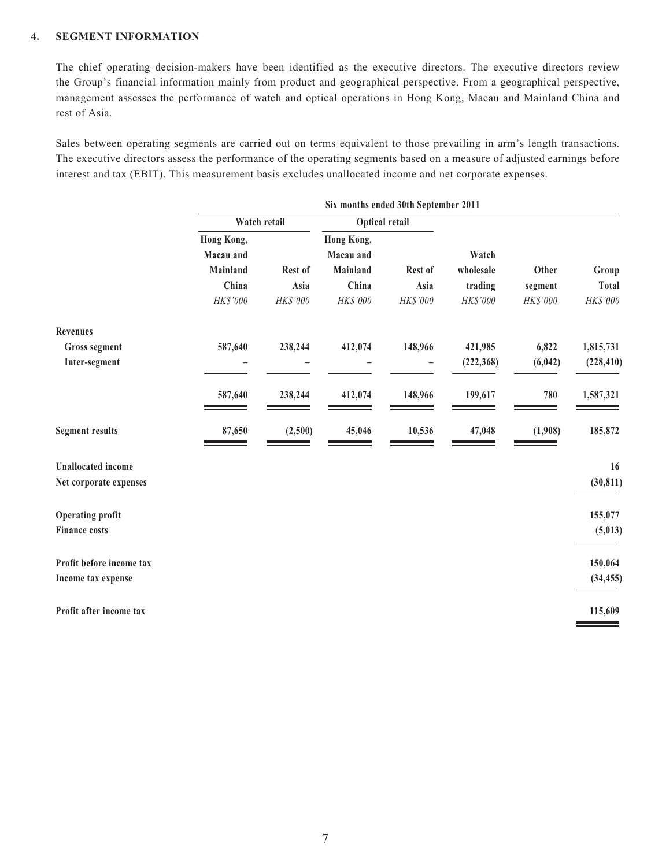#### **4. SEGMENT INFORMATION**

The chief operating decision-makers have been identified as the executive directors. The executive directors review the Group's financial information mainly from product and geographical perspective. From a geographical perspective, management assesses the performance of watch and optical operations in Hong Kong, Macau and Mainland China and rest of Asia.

Sales between operating segments are carried out on terms equivalent to those prevailing in arm's length transactions. The executive directors assess the performance of the operating segments based on a measure of adjusted earnings before interest and tax (EBIT). This measurement basis excludes unallocated income and net corporate expenses.

|            | Optical retail        |                         |                       |            |                                                            |              |
|------------|-----------------------|-------------------------|-----------------------|------------|------------------------------------------------------------|--------------|
| Hong Kong, |                       | Hong Kong,              |                       |            |                                                            |              |
|            |                       |                         |                       |            |                                                            |              |
|            |                       |                         |                       |            |                                                            | Group        |
| China      | Asia                  | China                   | Asia                  | trading    | segment                                                    | <b>Total</b> |
| HK\$'000   | HK\$'000              | HK\$'000                | HK\$'000              | HK\$'000   | HK\$'000                                                   | HK\$'000     |
|            |                       |                         |                       |            |                                                            |              |
| 587,640    | 238,244               | 412,074                 | 148,966               | 421,985    | 6,822                                                      | 1,815,731    |
|            |                       |                         |                       | (222, 368) | (6, 042)                                                   | (228, 410)   |
| 587,640    | 238,244               | 412,074                 | 148,966               | 199,617    | 780                                                        | 1,587,321    |
| 87,650     | (2,500)               | 45,046                  | 10,536                | 47,048     | (1,908)                                                    | 185,872      |
|            |                       |                         |                       |            |                                                            | 16           |
|            |                       |                         |                       |            |                                                            | (30, 811)    |
|            |                       |                         |                       |            |                                                            | 155,077      |
|            |                       |                         |                       |            |                                                            | (5,013)      |
|            |                       |                         |                       |            |                                                            | 150,064      |
|            |                       |                         |                       |            |                                                            | (34, 455)    |
|            |                       |                         |                       |            |                                                            | 115,609      |
|            | Macau and<br>Mainland | Watch retail<br>Rest of | Macau and<br>Mainland | Rest of    | Six months ended 30th September 2011<br>Watch<br>wholesale | Other        |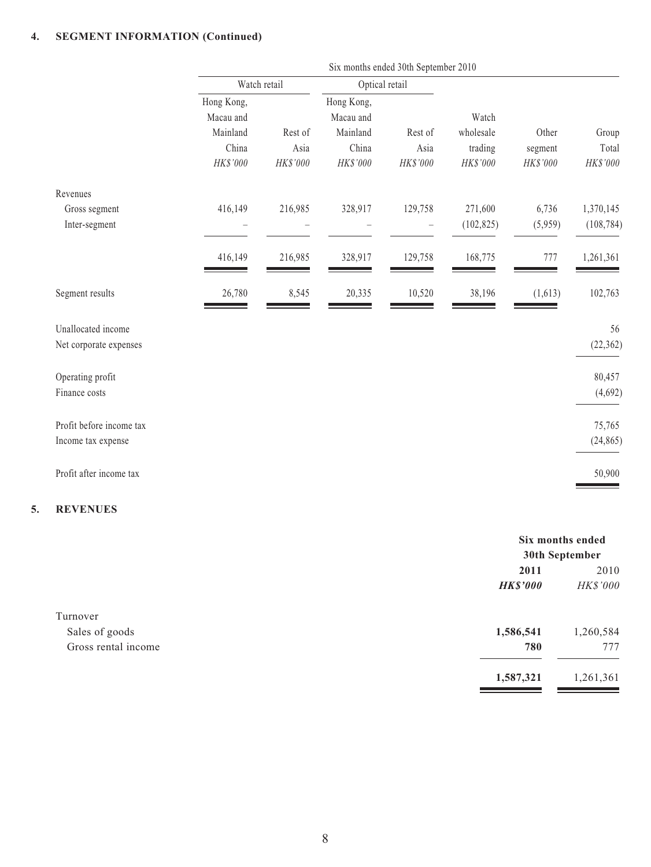#### **4. SEGMENT INFORMATION (Continued)**

|                                                | Six months ended 30th September 2010                     |                             |                                                          |                             |                                           |                              |                            |
|------------------------------------------------|----------------------------------------------------------|-----------------------------|----------------------------------------------------------|-----------------------------|-------------------------------------------|------------------------------|----------------------------|
|                                                | Watch retail                                             |                             | Optical retail                                           |                             |                                           |                              |                            |
|                                                | Hong Kong,<br>Macau and<br>Mainland<br>China<br>HK\$'000 | Rest of<br>Asia<br>HK\$'000 | Hong Kong,<br>Macau and<br>Mainland<br>China<br>HK\$'000 | Rest of<br>Asia<br>HK\$'000 | Watch<br>wholesale<br>trading<br>HK\$'000 | Other<br>segment<br>HK\$'000 | Group<br>Total<br>HK\$'000 |
| Revenues                                       |                                                          |                             |                                                          |                             |                                           |                              |                            |
| Gross segment<br>Inter-segment                 | 416,149                                                  | 216,985                     | 328,917                                                  | 129,758                     | 271,600<br>(102, 825)                     | 6,736<br>(5,959)             | 1,370,145<br>(108, 784)    |
|                                                | 416,149                                                  | 216,985                     | 328,917                                                  | 129,758                     | 168,775                                   | 777                          | 1,261,361                  |
| Segment results                                | 26,780                                                   | 8,545                       | 20,335                                                   | 10,520                      | 38,196                                    | (1,613)                      | 102,763                    |
| Unallocated income<br>Net corporate expenses   |                                                          |                             |                                                          |                             |                                           |                              | 56<br>(22, 362)            |
| Operating profit<br>Finance costs              |                                                          |                             |                                                          |                             |                                           |                              | 80,457<br>(4,692)          |
| Profit before income tax<br>Income tax expense |                                                          |                             |                                                          |                             |                                           |                              | 75,765<br>(24, 865)        |
| Profit after income tax                        |                                                          |                             |                                                          |                             |                                           |                              | 50,900                     |

#### **5. REVENUES**

|                     |                 | Six months ended |  |
|---------------------|-----------------|------------------|--|
|                     | 30th September  |                  |  |
|                     | 2011            | 2010             |  |
|                     | <b>HK\$'000</b> | HK\$'000         |  |
| Turnover            |                 |                  |  |
| Sales of goods      | 1,586,541       | 1,260,584        |  |
| Gross rental income | 780             | 777              |  |
|                     | 1,587,321       | 1,261,361        |  |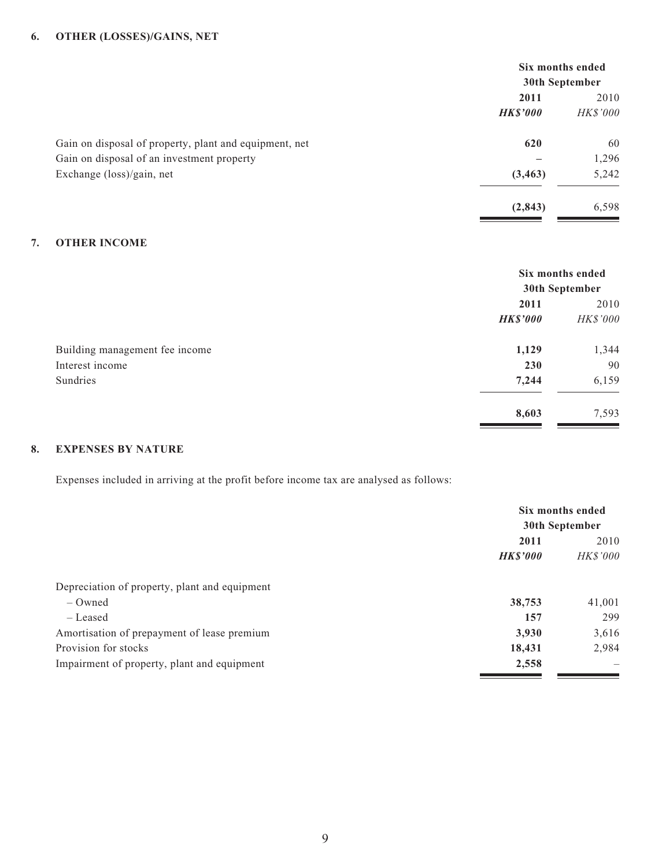#### **6. OTHER (LOSSES)/GAINS, NET**

|                                                        | Six months ended |                 |
|--------------------------------------------------------|------------------|-----------------|
|                                                        | 30th September   |                 |
|                                                        | 2011             | 2010            |
|                                                        | <b>HK\$'000</b>  | <i>HK\$'000</i> |
| Gain on disposal of property, plant and equipment, net | 620              | 60              |
| Gain on disposal of an investment property             |                  | 1,296           |
| Exchange (loss)/gain, net                              | (3, 463)         | 5,242           |
|                                                        | (2, 843)         | 6,598           |

#### **7. OTHER INCOME**

|                                | Six months ended<br>30th September |          |
|--------------------------------|------------------------------------|----------|
|                                | 2011                               | 2010     |
|                                | <b>HK\$'000</b>                    | HK\$'000 |
| Building management fee income | 1,129                              | 1,344    |
| Interest income                | 230                                | 90       |
| Sundries                       | 7,244                              | 6,159    |
|                                | 8,603                              | 7,593    |

#### **8. EXPENSES BY NATURE**

Expenses included in arriving at the profit before income tax are analysed as follows:

|                                               | Six months ended |                |  |
|-----------------------------------------------|------------------|----------------|--|
|                                               |                  | 30th September |  |
|                                               | 2011             | 2010           |  |
|                                               | <b>HK\$'000</b>  | HK\$'000       |  |
| Depreciation of property, plant and equipment |                  |                |  |
| $-$ Owned                                     | 38,753           | 41,001         |  |
| – Leased                                      | 157              | 299            |  |
| Amortisation of prepayment of lease premium   | 3,930            | 3,616          |  |
| Provision for stocks                          | 18,431           | 2,984          |  |
| Impairment of property, plant and equipment   | 2,558            |                |  |
|                                               |                  |                |  |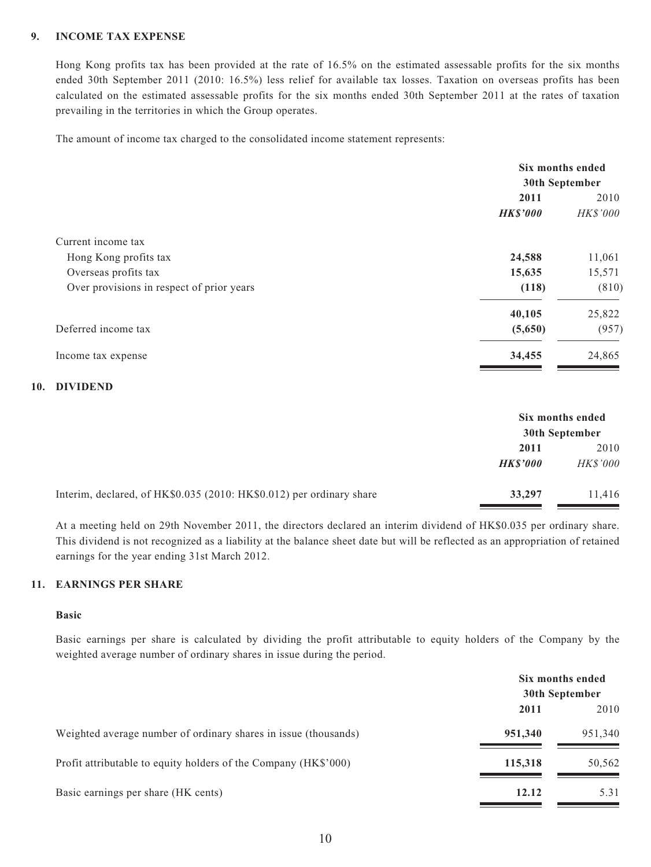#### **9. INCOME TAX EXPENSE**

Hong Kong profits tax has been provided at the rate of 16.5% on the estimated assessable profits for the six months ended 30th September 2011 (2010: 16.5%) less relief for available tax losses. Taxation on overseas profits has been calculated on the estimated assessable profits for the six months ended 30th September 2011 at the rates of taxation prevailing in the territories in which the Group operates.

The amount of income tax charged to the consolidated income statement represents:

|                                           | Six months ended |          |
|-------------------------------------------|------------------|----------|
|                                           | 30th September   |          |
|                                           | 2011             | 2010     |
|                                           | <b>HK\$'000</b>  | HK\$'000 |
| Current income tax                        |                  |          |
| Hong Kong profits tax                     | 24,588           | 11,061   |
| Overseas profits tax                      | 15,635           | 15,571   |
| Over provisions in respect of prior years | (118)            | (810)    |
|                                           | 40,105           | 25,822   |
| Deferred income tax                       | (5,650)          | (957)    |
| Income tax expense                        | 34,455           | 24,865   |

#### **10. DIVIDEND**

|                                                                      | Six months ended<br>30th September |                 |
|----------------------------------------------------------------------|------------------------------------|-----------------|
|                                                                      | 2011                               | 2010            |
|                                                                      | <b>HKS'000</b>                     | <b>HK\$'000</b> |
| Interim, declared, of HK\$0.035 (2010: HK\$0.012) per ordinary share | 33,297                             | 11,416          |

At a meeting held on 29th November 2011, the directors declared an interim dividend of HK\$0.035 per ordinary share. This dividend is not recognized as a liability at the balance sheet date but will be reflected as an appropriation of retained earnings for the year ending 31st March 2012.

#### **11. EARNINGS PER SHARE**

#### **Basic**

Basic earnings per share is calculated by dividing the profit attributable to equity holders of the Company by the weighted average number of ordinary shares in issue during the period.

|                                                                 | Six months ended<br>30th September |         |
|-----------------------------------------------------------------|------------------------------------|---------|
|                                                                 | 2011                               | 2010    |
| Weighted average number of ordinary shares in issue (thousands) | 951,340                            | 951,340 |
| Profit attributable to equity holders of the Company (HK\$'000) | 115,318                            | 50,562  |
| Basic earnings per share (HK cents)                             | 12.12                              | 5.31    |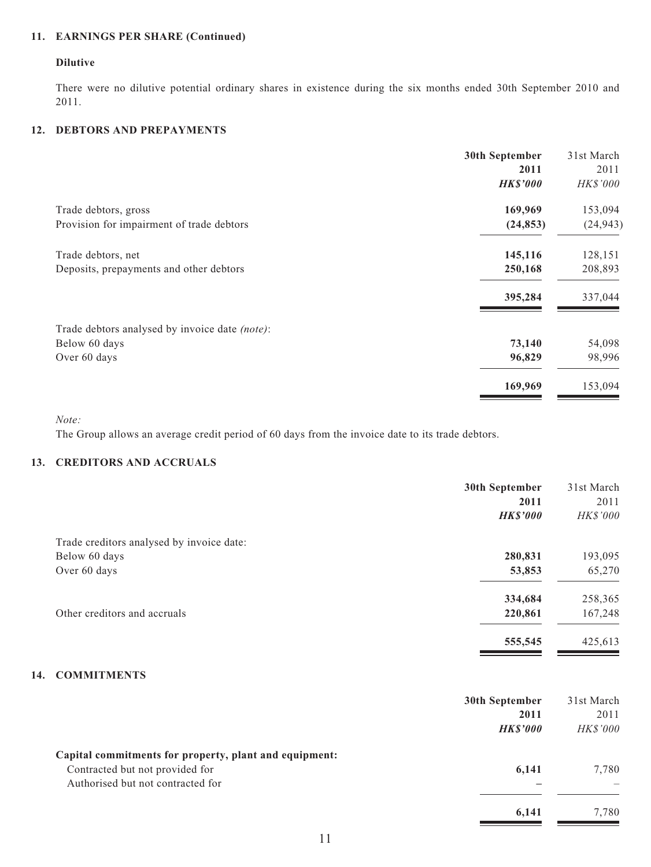### **11. EARNINGS PER SHARE (Continued)**

#### **Dilutive**

There were no dilutive potential ordinary shares in existence during the six months ended 30th September 2010 and 2011.

#### **12. DEBTORS AND PREPAYMENTS**

|                                                | 30th September  | 31st March |
|------------------------------------------------|-----------------|------------|
|                                                | 2011            | 2011       |
|                                                | <b>HK\$'000</b> | HK\$'000   |
| Trade debtors, gross                           | 169,969         | 153,094    |
| Provision for impairment of trade debtors      | (24, 853)       | (24, 943)  |
| Trade debtors, net                             | 145,116         | 128,151    |
| Deposits, prepayments and other debtors        | 250,168         | 208,893    |
|                                                | 395,284         | 337,044    |
| Trade debtors analysed by invoice date (note): |                 |            |
| Below 60 days                                  | 73,140          | 54,098     |
| Over 60 days                                   | 96,829          | 98,996     |
|                                                | 169,969         | 153,094    |
|                                                |                 |            |

*Note:*

The Group allows an average credit period of 60 days from the invoice date to its trade debtors.

#### **13. CREDITORS AND ACCRUALS**

|                                           | 30th September  | 31st March |
|-------------------------------------------|-----------------|------------|
|                                           | 2011            | 2011       |
|                                           | <b>HK\$'000</b> | HK\$'000   |
| Trade creditors analysed by invoice date: |                 |            |
| Below 60 days                             | 280,831         | 193,095    |
| Over 60 days                              | 53,853          | 65,270     |
|                                           | 334,684         | 258,365    |
| Other creditors and accruals              | 220,861         | 167,248    |
|                                           | 555,545         | 425,613    |

#### **14. COMMITMENTS**

|                                                        | 30th September | 31st March      |
|--------------------------------------------------------|----------------|-----------------|
|                                                        | 2011           | 2011            |
|                                                        | <b>HKS'000</b> | <i>HK\$'000</i> |
| Capital commitments for property, plant and equipment: |                |                 |
| Contracted but not provided for                        | 6,141          | 7,780           |
| Authorised but not contracted for                      |                |                 |
|                                                        | 6,141          | 7.780           |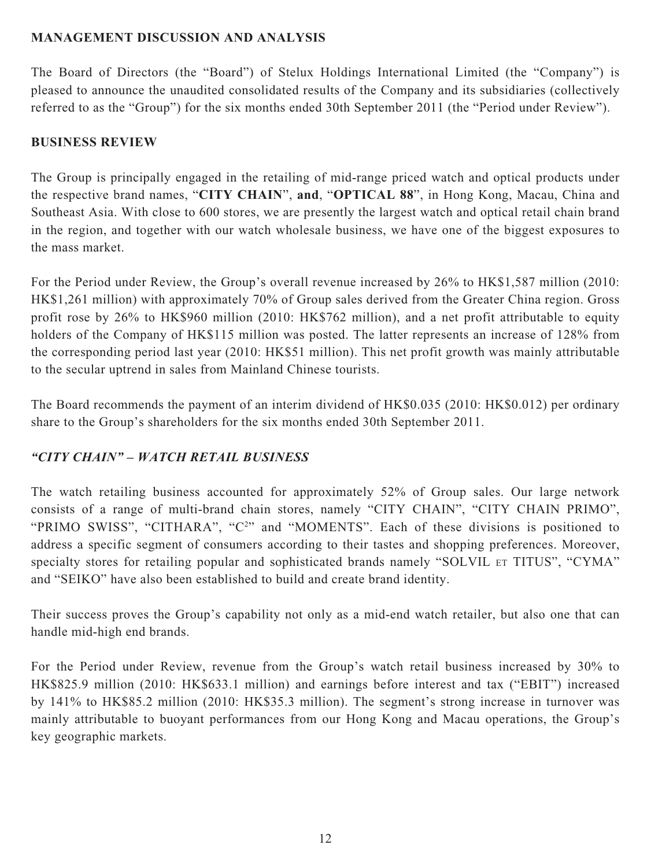### **MANAGEMENT DISCUSSION AND ANALYSIS**

The Board of Directors (the "Board") of Stelux Holdings International Limited (the "Company") is pleased to announce the unaudited consolidated results of the Company and its subsidiaries (collectively referred to as the "Group") for the six months ended 30th September 2011 (the "Period under Review").

#### **BUSINESS REVIEW**

The Group is principally engaged in the retailing of mid-range priced watch and optical products under the respective brand names, "**CITY CHAIN**", **and**, "**OPTICAL 88**", in Hong Kong, Macau, China and Southeast Asia. With close to 600 stores, we are presently the largest watch and optical retail chain brand in the region, and together with our watch wholesale business, we have one of the biggest exposures to the mass market.

For the Period under Review, the Group's overall revenue increased by 26% to HK\$1,587 million (2010: HK\$1,261 million) with approximately 70% of Group sales derived from the Greater China region. Gross profit rose by 26% to HK\$960 million (2010: HK\$762 million), and a net profit attributable to equity holders of the Company of HK\$115 million was posted. The latter represents an increase of 128% from the corresponding period last year (2010: HK\$51 million). This net profit growth was mainly attributable to the secular uptrend in sales from Mainland Chinese tourists.

The Board recommends the payment of an interim dividend of HK\$0.035 (2010: HK\$0.012) per ordinary share to the Group's shareholders for the six months ended 30th September 2011.

### *"CITY CHAIN" – WATCH RETAIL BUSINESS*

The watch retailing business accounted for approximately 52% of Group sales. Our large network consists of a range of multi-brand chain stores, namely "CITY CHAIN", "CITY CHAIN PRIMO", "PRIMO SWISS", "CITHARA", "C<sup>2</sup>" and "MOMENTS". Each of these divisions is positioned to address a specific segment of consumers according to their tastes and shopping preferences. Moreover, specialty stores for retailing popular and sophisticated brands namely "SOLVIL ET TITUS", "CYMA" and "SEIKO" have also been established to build and create brand identity.

Their success proves the Group's capability not only as a mid-end watch retailer, but also one that can handle mid-high end brands.

For the Period under Review, revenue from the Group's watch retail business increased by 30% to HK\$825.9 million (2010: HK\$633.1 million) and earnings before interest and tax ("EBIT") increased by 141% to HK\$85.2 million (2010: HK\$35.3 million). The segment's strong increase in turnover was mainly attributable to buoyant performances from our Hong Kong and Macau operations, the Group's key geographic markets.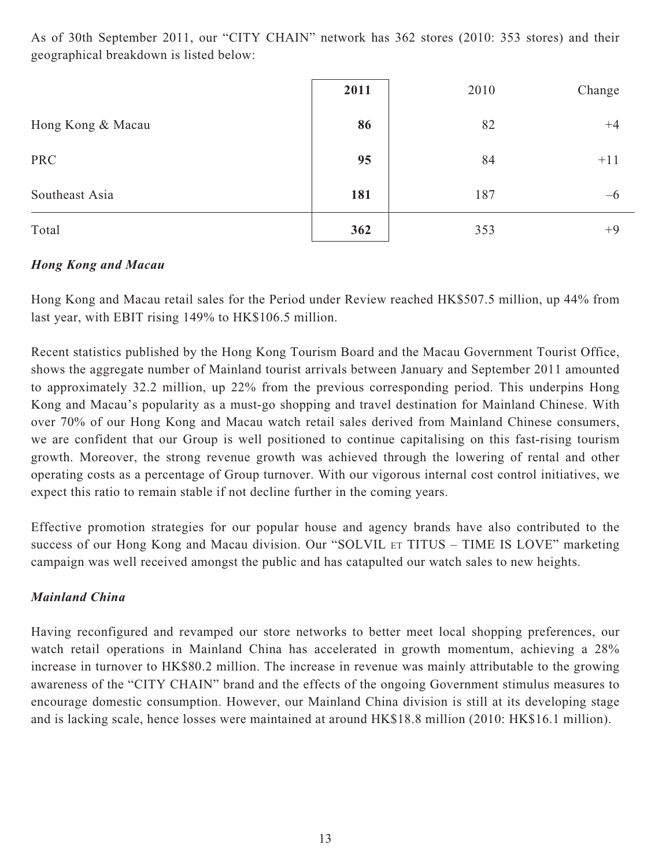As of 30th September 2011, our "CITY CHAIN" network has 362 stores (2010: 353 stores) and their geographical breakdown is listed below:

|                   | 2011 | 2010 | Change |
|-------------------|------|------|--------|
| Hong Kong & Macau | 86   | 82   | $+4$   |
| <b>PRC</b>        | 95   | 84   | $+11$  |
| Southeast Asia    | 181  | 187  | $-6$   |
| Total             | 362  | 353  | $+9$   |

### *Hong Kong and Macau*

Hong Kong and Macau retail sales for the Period under Review reached HK\$507.5 million, up 44% from last year, with EBIT rising 149% to HK\$106.5 million.

Recent statistics published by the Hong Kong Tourism Board and the Macau Government Tourist Office, shows the aggregate number of Mainland tourist arrivals between January and September 2011 amounted to approximately 32.2 million, up 22% from the previous corresponding period. This underpins Hong Kong and Macau's popularity as a must-go shopping and travel destination for Mainland Chinese. With over 70% of our Hong Kong and Macau watch retail sales derived from Mainland Chinese consumers, we are confident that our Group is well positioned to continue capitalising on this fast-rising tourism growth. Moreover, the strong revenue growth was achieved through the lowering of rental and other operating costs as a percentage of Group turnover. With our vigorous internal cost control initiatives, we expect this ratio to remain stable if not decline further in the coming years.

Effective promotion strategies for our popular house and agency brands have also contributed to the success of our Hong Kong and Macau division. Our "SOLVIL ET TITUS – TIME IS LOVE" marketing campaign was well received amongst the public and has catapulted our watch sales to new heights.

### *Mainland China*

Having reconfigured and revamped our store networks to better meet local shopping preferences, our watch retail operations in Mainland China has accelerated in growth momentum, achieving a 28% increase in turnover to HK\$80.2 million. The increase in revenue was mainly attributable to the growing awareness of the "CITY CHAIN" brand and the effects of the ongoing Government stimulus measures to encourage domestic consumption. However, our Mainland China division is still at its developing stage and is lacking scale, hence losses were maintained at around HK\$18.8 million (2010: HK\$16.1 million).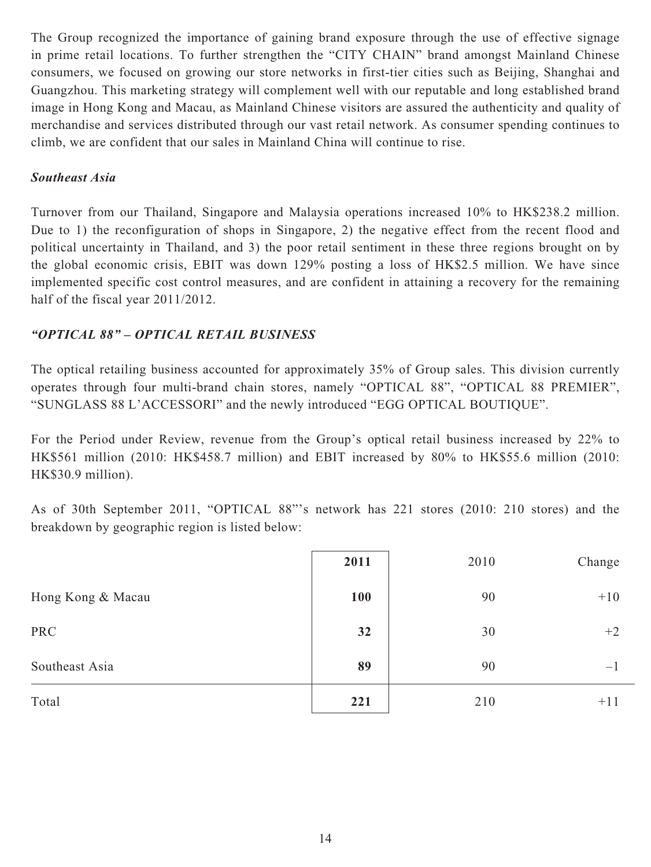The Group recognized the importance of gaining brand exposure through the use of effective signage in prime retail locations. To further strengthen the "CITY CHAIN" brand amongst Mainland Chinese consumers, we focused on growing our store networks in first-tier cities such as Beijing, Shanghai and Guangzhou. This marketing strategy will complement well with our reputable and long established brand image in Hong Kong and Macau, as Mainland Chinese visitors are assured the authenticity and quality of merchandise and services distributed through our vast retail network. As consumer spending continues to climb, we are confident that our sales in Mainland China will continue to rise.

### *Southeast Asia*

Turnover from our Thailand, Singapore and Malaysia operations increased 10% to HK\$238.2 million. Due to 1) the reconfiguration of shops in Singapore, 2) the negative effect from the recent flood and political uncertainty in Thailand, and 3) the poor retail sentiment in these three regions brought on by the global economic crisis, EBIT was down 129% posting a loss of HK\$2.5 million. We have since implemented specific cost control measures, and are confident in attaining a recovery for the remaining half of the fiscal year 2011/2012.

### *"OPTICAL 88" – OPTICAL RETAIL BUSINESS*

The optical retailing business accounted for approximately 35% of Group sales. This division currently operates through four multi-brand chain stores, namely "OPTICAL 88", "OPTICAL 88 PREMIER", "SUNGLASS 88 L'ACCESSORI" and the newly introduced "EGG OPTICAL BOUTIQUE".

For the Period under Review, revenue from the Group's optical retail business increased by 22% to HK\$561 million (2010: HK\$458.7 million) and EBIT increased by 80% to HK\$55.6 million (2010: HK\$30.9 million).

As of 30th September 2011, "OPTICAL 88"'s network has 221 stores (2010: 210 stores) and the breakdown by geographic region is listed below:

|                   | 2011 | 2010 | Change            |
|-------------------|------|------|-------------------|
| Hong Kong & Macau | 100  | 90   | $+10$             |
| <b>PRC</b>        | 32   | 30   | $+2$              |
| Southeast Asia    | 89   | 90   | $\qquad \qquad -$ |
| Total             | 221  | 210  | $+11$             |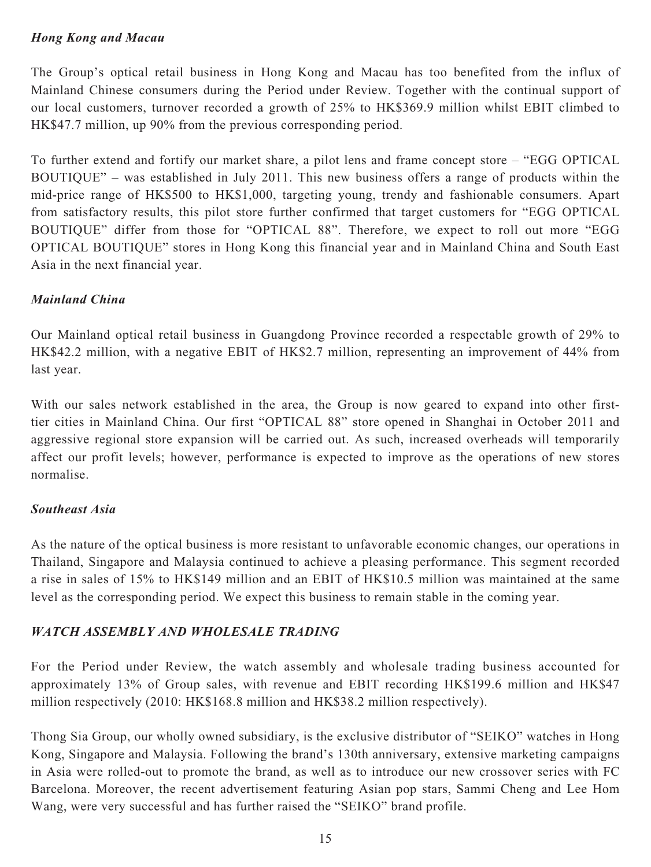### *Hong Kong and Macau*

The Group's optical retail business in Hong Kong and Macau has too benefited from the influx of Mainland Chinese consumers during the Period under Review. Together with the continual support of our local customers, turnover recorded a growth of 25% to HK\$369.9 million whilst EBIT climbed to HK\$47.7 million, up 90% from the previous corresponding period.

To further extend and fortify our market share, a pilot lens and frame concept store – "EGG OPTICAL BOUTIQUE" – was established in July 2011. This new business offers a range of products within the mid-price range of HK\$500 to HK\$1,000, targeting young, trendy and fashionable consumers. Apart from satisfactory results, this pilot store further confirmed that target customers for "EGG OPTICAL BOUTIQUE" differ from those for "OPTICAL 88". Therefore, we expect to roll out more "EGG OPTICAL BOUTIQUE" stores in Hong Kong this financial year and in Mainland China and South East Asia in the next financial year.

### *Mainland China*

Our Mainland optical retail business in Guangdong Province recorded a respectable growth of 29% to HK\$42.2 million, with a negative EBIT of HK\$2.7 million, representing an improvement of 44% from last year.

With our sales network established in the area, the Group is now geared to expand into other firsttier cities in Mainland China. Our first "OPTICAL 88" store opened in Shanghai in October 2011 and aggressive regional store expansion will be carried out. As such, increased overheads will temporarily affect our profit levels; however, performance is expected to improve as the operations of new stores normalise.

#### *Southeast Asia*

As the nature of the optical business is more resistant to unfavorable economic changes, our operations in Thailand, Singapore and Malaysia continued to achieve a pleasing performance. This segment recorded a rise in sales of 15% to HK\$149 million and an EBIT of HK\$10.5 million was maintained at the same level as the corresponding period. We expect this business to remain stable in the coming year.

### *WATCH ASSEMBLY AND WHOLESALE TRADING*

For the Period under Review, the watch assembly and wholesale trading business accounted for approximately 13% of Group sales, with revenue and EBIT recording HK\$199.6 million and HK\$47 million respectively (2010: HK\$168.8 million and HK\$38.2 million respectively).

Thong Sia Group, our wholly owned subsidiary, is the exclusive distributor of "SEIKO" watches in Hong Kong, Singapore and Malaysia. Following the brand's 130th anniversary, extensive marketing campaigns in Asia were rolled-out to promote the brand, as well as to introduce our new crossover series with FC Barcelona. Moreover, the recent advertisement featuring Asian pop stars, Sammi Cheng and Lee Hom Wang, were very successful and has further raised the "SEIKO" brand profile.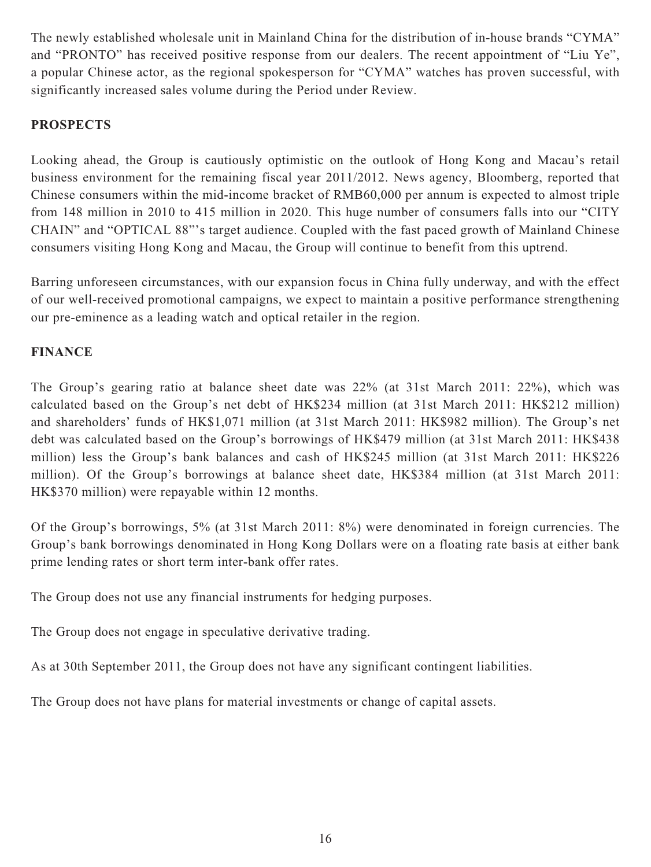The newly established wholesale unit in Mainland China for the distribution of in-house brands "CYMA" and "PRONTO" has received positive response from our dealers. The recent appointment of "Liu Ye", a popular Chinese actor, as the regional spokesperson for "CYMA" watches has proven successful, with significantly increased sales volume during the Period under Review.

### **PROSPECTS**

Looking ahead, the Group is cautiously optimistic on the outlook of Hong Kong and Macau's retail business environment for the remaining fiscal year 2011/2012. News agency, Bloomberg, reported that Chinese consumers within the mid-income bracket of RMB60,000 per annum is expected to almost triple from 148 million in 2010 to 415 million in 2020. This huge number of consumers falls into our "CITY CHAIN" and "OPTICAL 88"'s target audience. Coupled with the fast paced growth of Mainland Chinese consumers visiting Hong Kong and Macau, the Group will continue to benefit from this uptrend.

Barring unforeseen circumstances, with our expansion focus in China fully underway, and with the effect of our well-received promotional campaigns, we expect to maintain a positive performance strengthening our pre-eminence as a leading watch and optical retailer in the region.

### **FINANCE**

The Group's gearing ratio at balance sheet date was 22% (at 31st March 2011: 22%), which was calculated based on the Group's net debt of HK\$234 million (at 31st March 2011: HK\$212 million) and shareholders' funds of HK\$1,071 million (at 31st March 2011: HK\$982 million). The Group's net debt was calculated based on the Group's borrowings of HK\$479 million (at 31st March 2011: HK\$438 million) less the Group's bank balances and cash of HK\$245 million (at 31st March 2011: HK\$226 million). Of the Group's borrowings at balance sheet date, HK\$384 million (at 31st March 2011: HK\$370 million) were repayable within 12 months.

Of the Group's borrowings, 5% (at 31st March 2011: 8%) were denominated in foreign currencies. The Group's bank borrowings denominated in Hong Kong Dollars were on a floating rate basis at either bank prime lending rates or short term inter-bank offer rates.

The Group does not use any financial instruments for hedging purposes.

The Group does not engage in speculative derivative trading.

As at 30th September 2011, the Group does not have any significant contingent liabilities.

The Group does not have plans for material investments or change of capital assets.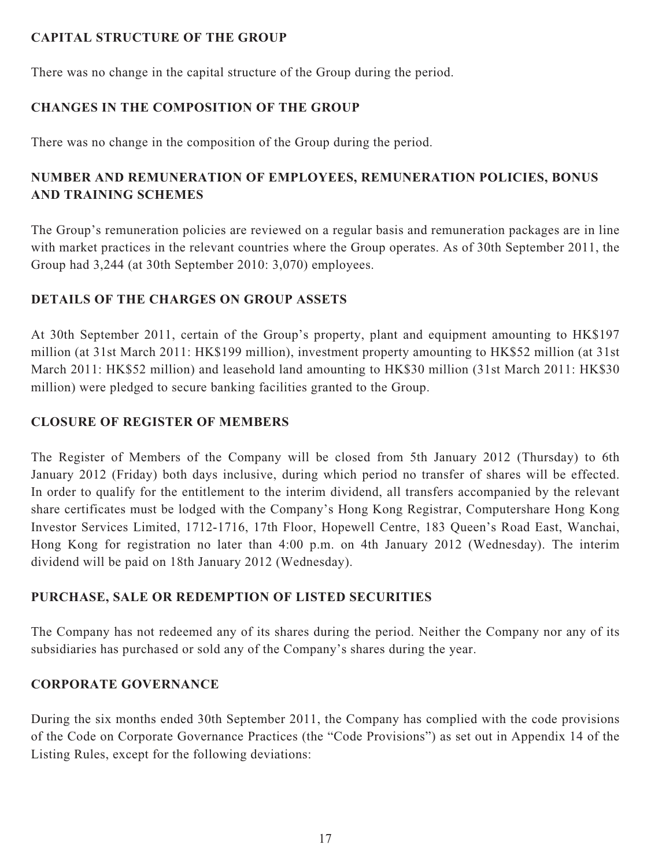### **CAPITAL STRUCTURE OF THE GROUP**

There was no change in the capital structure of the Group during the period.

### **CHANGES IN THE COMPOSITION OF THE GROUP**

There was no change in the composition of the Group during the period.

### **NUMBER AND REMUNERATION OF EMPLOYEES, REMUNERATION POLICIES, BONUS AND TRAINING SCHEMES**

The Group's remuneration policies are reviewed on a regular basis and remuneration packages are in line with market practices in the relevant countries where the Group operates. As of 30th September 2011, the Group had 3,244 (at 30th September 2010: 3,070) employees.

### **DETAILS OF THE CHARGES ON GROUP ASSETS**

At 30th September 2011, certain of the Group's property, plant and equipment amounting to HK\$197 million (at 31st March 2011: HK\$199 million), investment property amounting to HK\$52 million (at 31st March 2011: HK\$52 million) and leasehold land amounting to HK\$30 million (31st March 2011: HK\$30 million) were pledged to secure banking facilities granted to the Group.

### **CLOSURE OF REGISTER OF MEMBERS**

The Register of Members of the Company will be closed from 5th January 2012 (Thursday) to 6th January 2012 (Friday) both days inclusive, during which period no transfer of shares will be effected. In order to qualify for the entitlement to the interim dividend, all transfers accompanied by the relevant share certificates must be lodged with the Company's Hong Kong Registrar, Computershare Hong Kong Investor Services Limited, 1712-1716, 17th Floor, Hopewell Centre, 183 Queen's Road East, Wanchai, Hong Kong for registration no later than 4:00 p.m. on 4th January 2012 (Wednesday). The interim dividend will be paid on 18th January 2012 (Wednesday).

### **PURCHASE, SALE OR REDEMPTION OF LISTED SECURITIES**

The Company has not redeemed any of its shares during the period. Neither the Company nor any of its subsidiaries has purchased or sold any of the Company's shares during the year.

### **CORPORATE GOVERNANCE**

During the six months ended 30th September 2011, the Company has complied with the code provisions of the Code on Corporate Governance Practices (the "Code Provisions") as set out in Appendix 14 of the Listing Rules, except for the following deviations: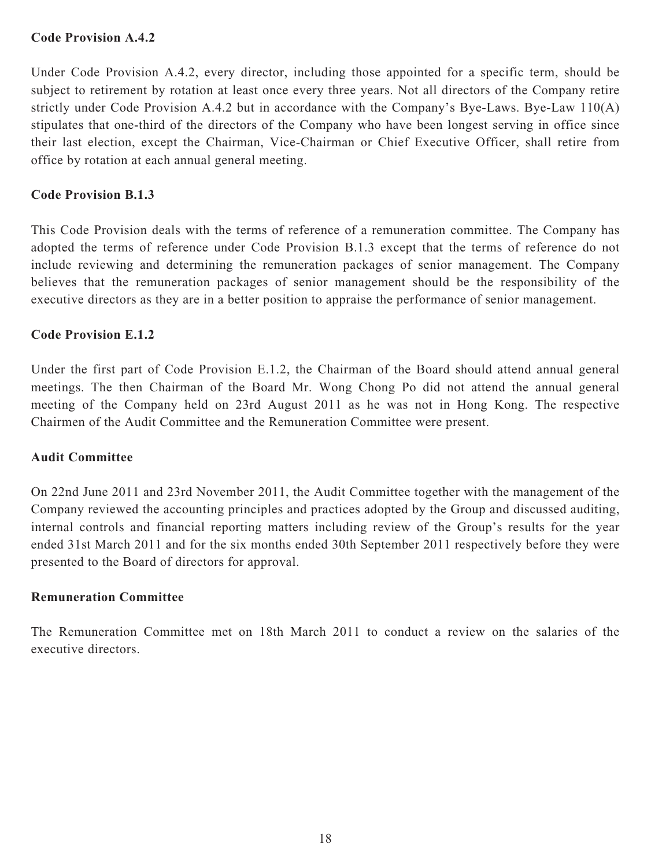#### **Code Provision A.4.2**

Under Code Provision A.4.2, every director, including those appointed for a specific term, should be subject to retirement by rotation at least once every three years. Not all directors of the Company retire strictly under Code Provision A.4.2 but in accordance with the Company's Bye-Laws. Bye-Law 110(A) stipulates that one-third of the directors of the Company who have been longest serving in office since their last election, except the Chairman, Vice-Chairman or Chief Executive Officer, shall retire from office by rotation at each annual general meeting.

#### **Code Provision B.1.3**

This Code Provision deals with the terms of reference of a remuneration committee. The Company has adopted the terms of reference under Code Provision B.1.3 except that the terms of reference do not include reviewing and determining the remuneration packages of senior management. The Company believes that the remuneration packages of senior management should be the responsibility of the executive directors as they are in a better position to appraise the performance of senior management.

#### **Code Provision E.1.2**

Under the first part of Code Provision E.1.2, the Chairman of the Board should attend annual general meetings. The then Chairman of the Board Mr. Wong Chong Po did not attend the annual general meeting of the Company held on 23rd August 2011 as he was not in Hong Kong. The respective Chairmen of the Audit Committee and the Remuneration Committee were present.

#### **Audit Committee**

On 22nd June 2011 and 23rd November 2011, the Audit Committee together with the management of the Company reviewed the accounting principles and practices adopted by the Group and discussed auditing, internal controls and financial reporting matters including review of the Group's results for the year ended 31st March 2011 and for the six months ended 30th September 2011 respectively before they were presented to the Board of directors for approval.

#### **Remuneration Committee**

The Remuneration Committee met on 18th March 2011 to conduct a review on the salaries of the executive directors.